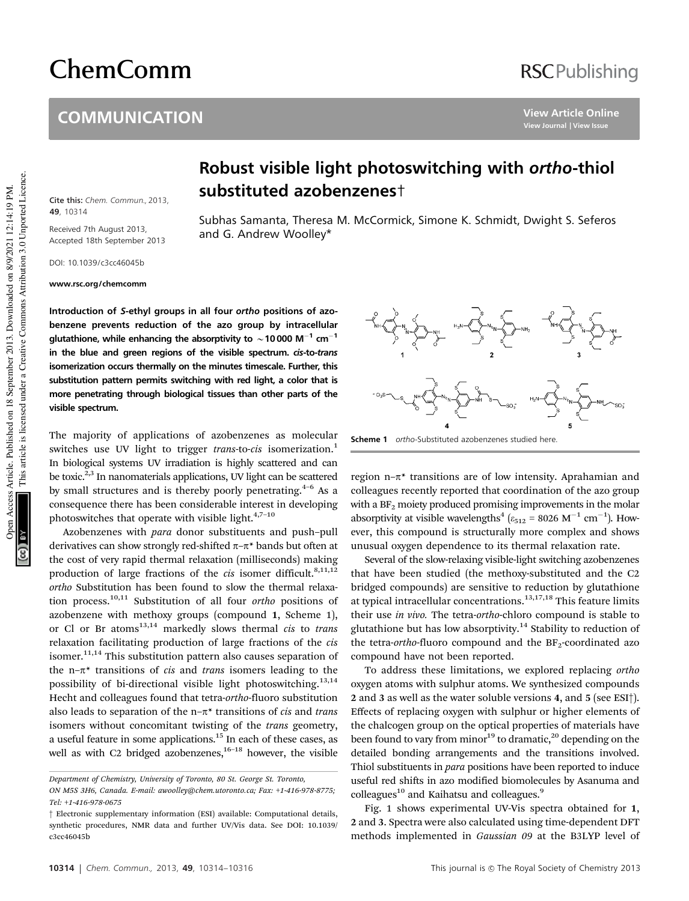# ChemComm

#### **COMMUNICATION**

### **RSCPublishing**

**View Article Online View Journal | View Issue**

Cite this: Chem. Commun., 2013, **49**, 10314 Received 7th August 2013, Accepted 18th September 2013 DOI: 10.1039/c3cc46045b www.rsc.org/chemcomm

## Robust visible light photoswitching with ortho-thiol substituted azobenzenes†

Subhas Samanta, Theresa M. McCormick, Simone K. Schmidt, Dwight S. Seferos and G. Andrew Woolley\*

Introduction of S-ethyl groups in all four ortho positions of azo-

benzene prevents reduction of the azo group by intracellular glutathione, while enhancing the absorptivity to  $\sim$  10 000 M $^{-1}$  cm $^{-1}$ in the blue and green regions of the visible spectrum. cis-to-trans isomerization occurs thermally on the minutes timescale. Further, this substitution pattern permits switching with red light, a color that is more penetrating through biological tissues than other parts of the visible spectrum.

The majority of applications of azobenzenes as molecular switches use UV light to trigger *trans*-to-*cis* isomerization.<sup>1</sup> In biological systems UV irradiation is highly scattered and can be toxic. $2,3$  In nanomaterials applications, UV light can be scattered by small structures and is thereby poorly penetrating. $4-6$  As a consequence there has been considerable interest in developing photoswitches that operate with visible light. $4,7-10$ 

Azobenzenes with *para* donor substituents and push–pull derivatives can show strongly red-shifted  $\pi-\pi^*$  bands but often at the cost of very rapid thermal relaxation (milliseconds) making production of large fractions of the *cis* isomer difficult.<sup>8,11,12</sup> *ortho* Substitution has been found to slow the thermal relaxation process.10,11 Substitution of all four *ortho* positions of azobenzene with methoxy groups (compound 1, Scheme 1), or Cl or Br atoms13,14 markedly slows thermal *cis* to *trans* relaxation facilitating production of large fractions of the *cis* isomer.<sup>11,14</sup> This substitution pattern also causes separation of the  $n-\pi^*$  transitions of *cis* and *trans* isomers leading to the possibility of bi-directional visible light photoswitching.<sup>13,14</sup> Hecht and colleagues found that tetra-*ortho*-fluoro substitution also leads to separation of the  $n-\pi^*$  transitions of *cis* and *trans* isomers without concomitant twisting of the *trans* geometry, a useful feature in some applications.<sup>15</sup> In each of these cases, as well as with C2 bridged azobenzenes, $16-18$  however, the visible



Scheme 1 ortho-Substituted azobenzenes studied here.

region n– $\pi^*$  transitions are of low intensity. Aprahamian and colleagues recently reported that coordination of the azo group with a  $BF<sub>2</sub>$  moiety produced promising improvements in the molar absorptivity at visible wavelengths<sup>4</sup> ( $\varepsilon_{512}$  = 8026 M<sup>-1</sup> cm<sup>-1</sup>). However, this compound is structurally more complex and shows unusual oxygen dependence to its thermal relaxation rate.

Several of the slow-relaxing visible-light switching azobenzenes that have been studied (the methoxy-substituted and the C2 bridged compounds) are sensitive to reduction by glutathione at typical intracellular concentrations.<sup>13,17,18</sup> This feature limits their use *in vivo.* The tetra-*ortho*-chloro compound is stable to glutathione but has low absorptivity.<sup>14</sup> Stability to reduction of the tetra-*ortho*-fluoro compound and the BF<sub>2</sub>-coordinated azo compound have not been reported.

To address these limitations, we explored replacing *ortho* oxygen atoms with sulphur atoms. We synthesized compounds 2 and 3 as well as the water soluble versions 4, and 5 (see ESI†). Effects of replacing oxygen with sulphur or higher elements of the chalcogen group on the optical properties of materials have been found to vary from minor<sup>19</sup> to dramatic,<sup>20</sup> depending on the detailed bonding arrangements and the transitions involved. Thiol substituents in *para* positions have been reported to induce useful red shifts in azo modified biomolecules by Asanuma and colleagues<sup>10</sup> and Kaihatsu and colleagues.<sup>9</sup>

Fig. 1 shows experimental UV-Vis spectra obtained for 1, 2 and 3. Spectra were also calculated using time-dependent DFT methods implemented in *Gaussian 09* at the B3LYP level of

*Department of Chemistry, University of Toronto, 80 St. George St. Toronto,*

*ON M5S 3H6, Canada. E-mail: awoolley@chem.utoronto.ca; Fax:* +*1-416-978-8775; Tel:* +*1-416-978-0675*

<sup>†</sup> Electronic supplementary information (ESI) available: Computational details, synthetic procedures, NMR data and further UV/Vis data. See DOI: 10.1039/ c3cc46045b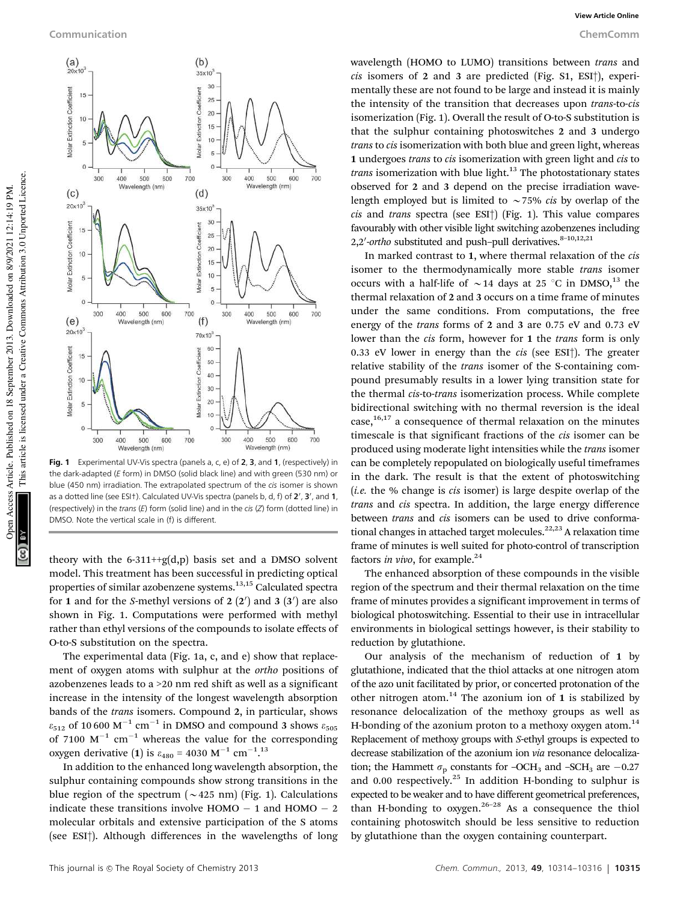

Fig. 1 Experimental UV-Vis spectra (panels a, c, e) of 2, 3, and 1, (respectively) in the dark-adapted (E form) in DMSO (solid black line) and with green (530 nm) or blue (450 nm) irradiation. The extrapolated spectrum of the cis isomer is shown as a dotted line (see ESI†). Calculated UV-Vis spectra (panels b, d, f) of 2', 3', and 1, (respectively) in the trans  $(E)$  form (solid line) and in the cis  $(Z)$  form (dotted line) in DMSO. Note the vertical scale in (f) is different.

theory with the  $6-311++g(d,p)$  basis set and a DMSO solvent model. This treatment has been successful in predicting optical properties of similar azobenzene systems.13,15 Calculated spectra for 1 and for the *S*-methyl versions of  $2(2')$  and  $3(3')$  are also shown in Fig. 1. Computations were performed with methyl rather than ethyl versions of the compounds to isolate effects of O-to-S substitution on the spectra.

The experimental data (Fig. 1a, c, and e) show that replacement of oxygen atoms with sulphur at the *ortho* positions of azobenzenes leads to a >20 nm red shift as well as a significant increase in the intensity of the longest wavelength absorption bands of the *trans* isomers. Compound 2, in particular, shows  $\varepsilon_{512}$  of 10 600 M<sup>-1</sup> cm<sup>-1</sup> in DMSO and compound 3 shows  $\varepsilon_{505}$ of 7100  $M^{-1}$  cm<sup>-1</sup> whereas the value for the corresponding oxygen derivative (1) is  $\varepsilon_{480}$  = 4030 M<sup>-1</sup> cm<sup>-1</sup>.<sup>13</sup>

In addition to the enhanced long wavelength absorption, the sulphur containing compounds show strong transitions in the blue region of the spectrum ( $\sim$  425 nm) (Fig. 1). Calculations indicate these transitions involve  $HOMO - 1$  and  $HOMO - 2$ molecular orbitals and extensive participation of the S atoms (see ESI†). Although differences in the wavelengths of long wavelength (HOMO to LUMO) transitions between *trans* and *cis* isomers of 2 and 3 are predicted (Fig. S1, ESI†), experimentally these are not found to be large and instead it is mainly the intensity of the transition that decreases upon *trans*-to-*cis* isomerization (Fig. 1). Overall the result of O-to-S substitution is that the sulphur containing photoswitches 2 and 3 undergo *trans* to *cis* isomerization with both blue and green light, whereas 1 undergoes *trans* to *cis* isomerization with green light and *cis* to *trans* isomerization with blue light.<sup>13</sup> The photostationary states observed for 2 and 3 depend on the precise irradiation wavelength employed but is limited to  $\sim$ 75% *cis* by overlap of the *cis* and *trans* spectra (see ESI†) (Fig. 1). This value compares favourably with other visible light switching azobenzenes including 2,2'-ortho substituted and push-pull derivatives.<sup>8-10,12,21</sup>

In marked contrast to 1, where thermal relaxation of the *cis* isomer to the thermodynamically more stable *trans* isomer occurs with a half-life of  $\sim$  14 days at 25 °C in DMSO,<sup>13</sup> the thermal relaxation of 2 and 3 occurs on a time frame of minutes under the same conditions. From computations, the free energy of the *trans* forms of 2 and 3 are 0.75 eV and 0.73 eV lower than the *cis* form, however for 1 the *trans* form is only 0.33 eV lower in energy than the *cis* (see ESI†). The greater relative stability of the *trans* isomer of the S-containing compound presumably results in a lower lying transition state for the thermal *cis*-to-*trans* isomerization process. While complete bidirectional switching with no thermal reversion is the ideal  $case, <sup>16,17</sup>$  a consequence of thermal relaxation on the minutes timescale is that significant fractions of the *cis* isomer can be produced using moderate light intensities while the *trans* isomer can be completely repopulated on biologically useful timeframes in the dark. The result is that the extent of photoswitching (*i.e.* the % change is *cis* isomer) is large despite overlap of the *trans* and *cis* spectra. In addition, the large energy difference between *trans* and *cis* isomers can be used to drive conformational changes in attached target molecules.<sup>22,23</sup> A relaxation time frame of minutes is well suited for photo-control of transcription factors *in vivo*, for example.<sup>24</sup>

The enhanced absorption of these compounds in the visible region of the spectrum and their thermal relaxation on the time frame of minutes provides a significant improvement in terms of biological photoswitching. Essential to their use in intracellular environments in biological settings however, is their stability to reduction by glutathione.

Our analysis of the mechanism of reduction of 1 by glutathione, indicated that the thiol attacks at one nitrogen atom of the azo unit facilitated by prior, or concerted protonation of the other nitrogen atom.<sup>14</sup> The azonium ion of  $1$  is stabilized by resonance delocalization of the methoxy groups as well as H-bonding of the azonium proton to a methoxy oxygen atom.<sup>14</sup> Replacement of methoxy groups with *S*-ethyl groups is expected to decrease stabilization of the azonium ion *via* resonance delocalization; the Hammett  $\sigma_{\rm p}$  constants for –OCH<sub>3</sub> and –SCH<sub>3</sub> are –0.27 and 0.00 respectively.<sup>25</sup> In addition H-bonding to sulphur is expected to be weaker and to have different geometrical preferences, than H-bonding to oxygen.<sup>26-28</sup> As a consequence the thiol containing photoswitch should be less sensitive to reduction by glutathione than the oxygen containing counterpart.